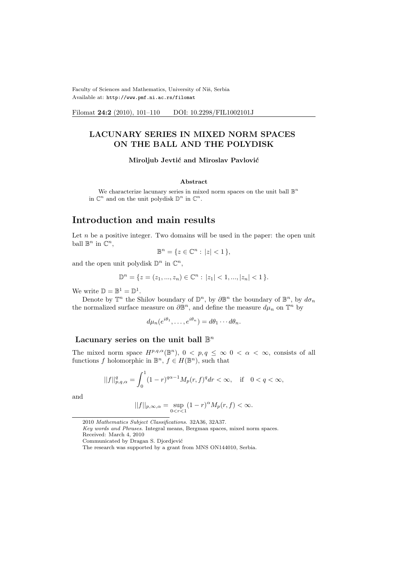Faculty of Sciences and Mathematics, University of Niš, Serbia Available at: http://www.pmf.ni.ac.rs/filomat

Filomat 24:2 (2010), 101-110 DOI: 10.2298/FIL1002101J

#### LACUNARY SERIES IN MIXED NORM SPACES ON THE BALL AND THE POLYDISK

Miroljub Jevtić and Miroslav Pavlović

#### Abstract

We characterize lacunary series in mixed norm spaces on the unit ball  $\mathbb{B}^n$ in  $\mathbb{C}^n$  and on the unit polydisk  $\mathbb{D}^n$  in  $\mathbb{C}^n$ .

# Introduction and main results

Let  $n$  be a positive integer. Two domains will be used in the paper: the open unit ball  $\mathbb{B}^n$  in  $\mathbb{C}^n$ ,

$$
\mathbb{B}^n = \{ z \in \mathbb{C}^n : |z| < 1 \},
$$

and the open unit polydisk  $\mathbb{D}^n$  in  $\mathbb{C}^n$ ,

$$
\mathbb{D}^n = \{ z = (z_1, ..., z_n) \in \mathbb{C}^n : |z_1| < 1, ..., |z_n| < 1 \}.
$$

We write  $\mathbb{D} = \mathbb{B}^1 = \mathbb{D}^1$ .

Denote by  $\mathbb{T}^n$  the Shilov boundary of  $\mathbb{D}^n$ , by  $\partial \mathbb{B}^n$  the boundary of  $\mathbb{B}^n$ , by  $d\sigma_n$ the normalized surface measure on  $\partial \mathbb{B}^n$ , and define the measure  $d\mu_n$  on  $\mathbb{T}^n$  by

$$
d\mu_n(e^{i\theta_1},\ldots,e^{i\theta_n})=d\theta_1\cdots d\theta_n.
$$

#### Lacunary series on the unit ball  $\mathbb{B}^n$

The mixed norm space  $H^{p,q,\alpha}(\mathbb{B}^n)$ ,  $0 < p,q \leq \infty$   $0 < \alpha < \infty$ , consists of all functions f holomorphic in  $\mathbb{B}^n$ ,  $f \in H(\mathbb{B}^n)$ , such that

$$
||f||_{p,q,\alpha}^q=\int_0^1(1-r)^{q\alpha-1}M_p(r,f)^qdr<\infty,\quad\text{if}\quad 0
$$

and

$$
||f||_{p,\infty,\alpha} = \sup_{0 < r < 1} (1-r)^\alpha M_p(r,f) < \infty.
$$

Communicated by Dragan S. Djordjević

<sup>2010</sup> Mathematics Subject Classifications. 32A36, 32A37.

Key words and Phrases. Integral means, Bergman spaces, mixed norm spaces. Received: March 4, 2010

The research was supported by a grant from MNS ON144010, Serbia.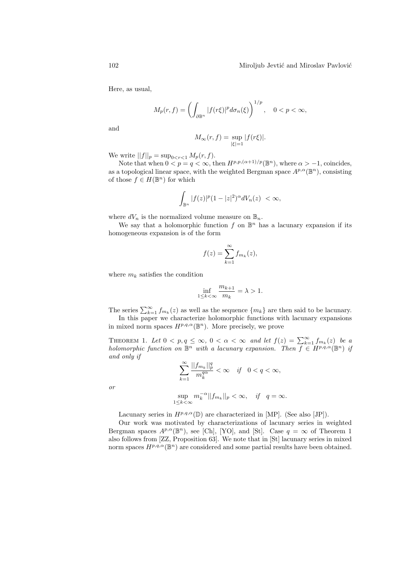Here, as usual,

$$
M_p(r,f) = \left(\int_{\partial \mathbb{B}^n} |f(r\xi)|^p d\sigma_n(\xi)\right)^{1/p}, \quad 0 < p < \infty,
$$

and

$$
M_{\infty}(r, f) = \sup_{|\xi|=1} |f(r\xi)|.
$$

We write  $||f||_p = \sup_{0 \le r \le 1} M_p(r, f)$ .

Note that when  $0 < p = q < \infty$ , then  $H^{p,p,(\alpha+1)/p}(\mathbb{B}^n)$ , where  $\alpha > -1$ , coincides, as a topological linear space, with the weighted Bergman space  $A^{p,\alpha}(\mathbb{B}^n)$ , consisting of those  $f \in H(\mathbb{B}^n)$  for which

$$
\int_{\mathbb{B}^n} |f(z)|^p (1-|z|^2)^\alpha dV_n(z) < \infty,
$$

where  $dV_n$  is the normalized volume measure on  $\mathbb{B}_n$ .

We say that a holomorphic function  $f$  on  $\mathbb{B}^n$  has a lacunary expansion if its homogeneous expansion is of the form

$$
f(z) = \sum_{k=1}^{\infty} f_{m_k}(z),
$$

where  $m_k$  satisfies the condition

$$
\inf_{1 \le k < \infty} \frac{m_{k+1}}{m_k} = \lambda > 1.
$$

The series  $\sum_{k=1}^{\infty} f_{m_k}(z)$  as well as the sequence  $\{m_k\}$  are then said to be lacunary.

In this paper we characterize holomorphic functions with lacunary expansions in mixed norm spaces  $H^{p,q,\alpha}(\mathbb{B}^n)$ . More precisely, we prove

THEOREM 1. Let  $0 < p, q \le \infty$ ,  $0 < \alpha < \infty$  and let  $f(z) = \sum_{k=1}^{\infty} f_{m_k}(z)$  be a holomorphic function on  $\mathbb{B}^n$  with a lacunary expansion. Then  $f \in H^{p,q,\alpha}(\mathbb{B}^n)$  if and only if

$$
\sum_{k=1}^{\infty} \frac{||f_{m_k}||_p^q}{m_k^{q\alpha}} < \infty \quad \text{if} \quad 0 < q < \infty,
$$

or

$$
\sup_{1\leq k<\infty}m_k^{-\alpha}||f_{m_k}||_p<\infty, \quad \text{if} \quad q=\infty.
$$

Lacunary series in  $H^{p,q,\alpha}(\mathbb{D})$  are characterized in [MP]. (See also [JP]).

Our work was motivated by characterizations of lacunary series in weighted Bergman spaces  $A^{p,\alpha}(\mathbb{B}^n)$ , see [Ch], [YO], and [St]. Case  $q = \infty$  of Theorem 1 also follows from [ZZ, Proposition 63]. We note that in [St] lacunary series in mixed norm spaces  $H^{p,q,\alpha}(\mathbb{B}^n)$  are considered and some partial results have been obtained.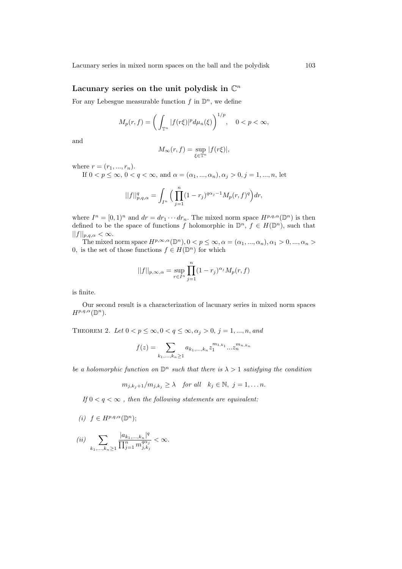#### Lacunary series on the unit polydisk in  $\mathbb{C}^n$

For any Lebesgue measurable function  $f$  in  $\mathbb{D}^n$ , we define

$$
M_p(r,f) = \left(\int_{\mathbb{T}^n} |f(r\xi)|^p d\mu_n(\xi)\right)^{1/p}, \quad 0 < p < \infty,
$$

and

$$
M_{\infty}(r, f) = \sup_{\xi \in \mathbb{T}^n} |f(r\xi)|,
$$

where  $r = (r_1, ..., r_n)$ .

If  $0 < p \leq \infty$ ,  $0 < q < \infty$ , and  $\alpha = (\alpha_1, \ldots, \alpha_n), \alpha_j > 0, j = 1, \ldots, n$ , let

$$
||f||_{p,q,\alpha}^q=\int_{I^n}\Big(\prod_{j=1}^n(1-r_j)^{q\alpha_j-1}M_p(r,f)^q\Big)dr,
$$

where  $I^n = [0, 1)^n$  and  $dr = dr_1 \cdots dr_n$ . The mixed norm space  $H^{p,q,\alpha}(\mathbb{D}^n)$  is then defined to be the space of functions f holomorphic in  $\mathbb{D}^n$ ,  $f \in H(\mathbb{D}^n)$ , such that  $||f||_{p,q,\alpha} < \infty.$ 

The mixed norm space  $H^{p,\infty,\alpha}(\mathbb{D}^n)$ ,  $0 < p \leq \infty$ ,  $\alpha = (\alpha_1, ..., \alpha_n)$ ,  $\alpha_1 > 0$ , ...,  $\alpha_n >$ 0, is the set of those functions  $f \in H(\mathbb{D}^n)$  for which

$$
||f||_{p,\infty,\alpha} = \sup_{r \in I^n} \prod_{j=1}^n (1-r_j)^{\alpha_j} M_p(r,f)
$$

is finite.

Our second result is a characterization of lacunary series in mixed norm spaces  $H^{p,q,\alpha}(\mathbb{D}^n)$ .

THEOREM 2. Let  $0 < p \leq \infty, 0 < q \leq \infty, \alpha_j > 0, j = 1, ..., n, and$ 

$$
f(z) = \sum_{k_1, \dots, k_n \ge 1} a_{k_1, \dots, k_n} z_1^{m_{1, k_1}} \dots z_n^{m_{n, k_n}}
$$

be a holomorphic function on  $\mathbb{D}^n$  such that there is  $\lambda > 1$  satisfying the condition

$$
m_{j,k_j+1}/m_{j,k_j} \ge \lambda
$$
 for all  $k_j \in \mathbb{N}$ ,  $j = 1, \ldots n$ .

If  $0 < q < \infty$ , then the following statements are equivalent:

(i)  $f \in H^{p,q,\alpha}(\mathbb{D}^n);$ 

$$
(ii) \sum_{k_1,\ldots,k_n\geq 1}\frac{|a_{k_1,\ldots,k_n}|^q}{\prod_{j=1}^n m_{j,k_j}^{q\alpha_j}} < \infty.
$$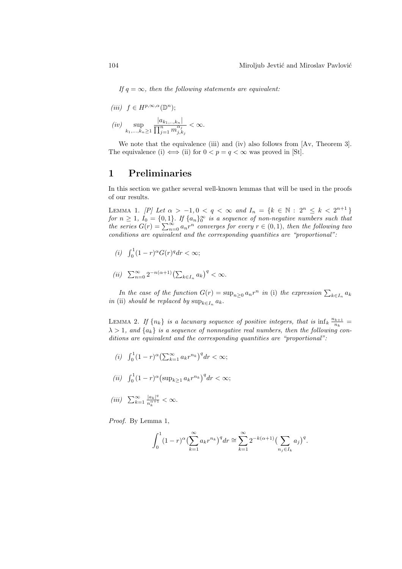If  $q = \infty$ , then the following statements are equivalent:

$$
(iii) \quad f \in H^{p,\infty,\alpha}(\mathbb{D}^n);
$$

$$
(iv) \quad \sup_{k_1,\ldots,k_n \ge 1} \frac{|a_{k_1,\ldots,k_n}|}{\prod_{j=1}^n m_{j,k_j}^{\alpha_j}} < \infty.
$$

We note that the equivalence (iii) and (iv) also follows from [Av, Theorem 3]. The equivalence (i)  $\iff$  (ii) for  $0 < p = q < \infty$  was proved in [St].

### 1 Preliminaries

In this section we gather several well-known lemmas that will be used in the proofs of our results.

LEMMA 1. [P] Let  $\alpha > -1, 0 < q < \infty$  and  $I_n = \{k \in \mathbb{N} : 2^n \leq k < 2^{n+1}\}\$ for  $n \geq 1$ ,  $I_0 = \{0,1\}$ . If  $\{a_n\}_0^{\infty}$  is a sequence of non-negative numbers such that the series  $G(r) = \sum_{n=0}^{\infty} a_n r^n$  converges for every  $r \in (0,1)$ , then the following two conditions are equivalent and the corresponding quantities are "proportional":

- (i)  $\int_0^1 (1 r)^{\alpha} G(r)^q dr < \infty;$
- (ii)  $\sum_{n=0}^{\infty} 2^{-n(\alpha+1)} \left(\sum_{k \in I_n} a_k\right)^q < \infty.$

In the case of the function  $G(r) = \sup_{n\geq 0} a_n r^n$  in (i) the expression  $\sum_{k\in I_n} a_k$ in (ii) should be replaced by  $\sup_{k \in I_n} a_k$ .

LEMMA 2. If  ${n_k}$  is a lacunary sequence of positive integers, that is  $\inf_k \frac{n_{k+1}}{n_k}$  $\frac{k+1}{n_k} =$  $\lambda > 1$ , and  $\{a_k\}$  is a sequence of nonnegative real numbers, then the following conditions are equivalent and the corresponding quantities are "proportional":

- (*i*)  $\int_0^1 (1 r)^{\alpha} (\sum_{k=1}^{\infty}$  $\sum_{k=1}^{\infty} a_k r^{n_k} \big)^q dr < \infty;$
- (*ii*)  $\int_0^1 (1 r)^{\alpha} ($  $\sup_{k\geq 1} a_k r^{n_k}\big)^q dr < \infty;$

$$
(iii) \quad \sum_{k=1}^{\infty} \frac{|a_k|^q}{n_k^{\alpha+1}} < \infty.
$$

Proof. By Lemma 1,

$$
\int_0^1 (1-r)^{\alpha} \left(\sum_{k=1}^{\infty} a_k r^{n_k}\right)^q dr \cong \sum_{k=1}^{\infty} 2^{-k(\alpha+1)} \left(\sum_{n_j \in I_k} a_j\right)^q.
$$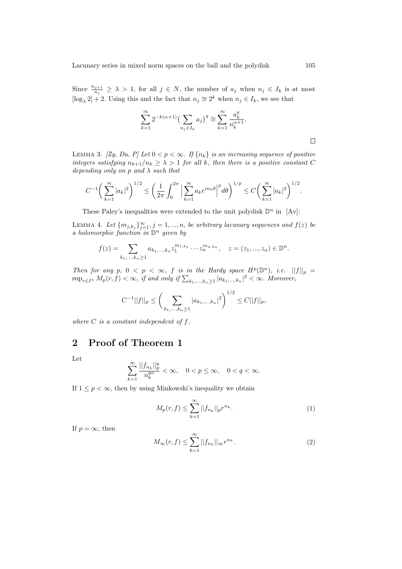Since  $\frac{n_{j+1}}{n_j} \geq \lambda > 1$ , for all  $j \in N$ , the number of  $a_j$  when  $n_j \in I_k$  is at most  $[\log_{\lambda} 2] + 2$ . Using this and the fact that  $n_j \approx 2^k$  when  $n_j \in I_k$ , we see that

$$
\sum_{k=1}^{\infty} 2^{-k(\alpha+1)} \left(\sum_{n_j \in I_k} a_j\right)^q \cong \sum_{k=1}^{\infty} \frac{a_k^q}{n_k^{\alpha+1}}.
$$

LEMMA 3. [Zy, Du, P] Let  $0 < p < \infty$ . If  $\{n_k\}$  is an increasing sequence of positive integers satisfying  $n_{k+1}/n_k \geq \lambda > 1$  for all k, then there is a positive constant C depending only on p and  $\lambda$  such that

$$
C^{-1}\bigg(\sum_{k=1}^{\infty}|a_k|^2\bigg)^{1/2}\leq \bigg(\frac{1}{2\pi}\int_0^{2\pi}\Big|\sum_{k=1}^{\infty}a_ke^{in_k\theta}\Big|^pd\theta\bigg)^{1/p}\leq C\bigg(\sum_{k=1}^{\infty}|a_k|^2\bigg)^{1/2}.
$$

These Paley's inequalities were extended to the unit polydisk  $\mathbb{D}^n$  in [Av]:

LEMMA 4. Let  ${m_{j,k_j}}_{j=1}^{\infty}, j = 1, ..., n$ , be arbitrary lacunary sequences and  $f(z)$  be a holomorphic function in  $\mathbb{D}^n$  given by

$$
f(z) = \sum_{k_1,\dots,k_n \ge 1} a_{k_1,\dots,k_n} z_1^{m_{1,k_1}} \cdots z_n^{m_{n,k_n}}, \quad z = (z_1,\dots,z_n) \in \mathbb{D}^n.
$$

Then for any  $p, 0 < p < \infty$ , f is in the Hardy space  $H^p(\mathbb{D}^n)$ , i.e.  $||f||_p = \sup_{r \in I^n} M_p(r, f) < \infty$ , if and only if  $\sum_{k_1, ..., k_n \geq 1} |a_{k_1, ..., k_n}|^2 < \infty$ . Moreover,

$$
C^{-1}||f||_p \leq \left(\sum_{k_1,\dots,k_n\geq 1} |a_{k_1,\dots,k_n}|^2\right)^{1/2} \leq C||f||_p,
$$

where  $C$  is a constant independent of  $f$ .

## 2 Proof of Theorem 1

Let

$$
\sum_{k=1}^{\infty} \frac{||f_{n_k}||_p^q}{n_k^{q\alpha}} < \infty, \quad 0 < p \le \infty, \quad 0 < q < \infty.
$$

If  $1 \leq p < \infty$ , then by using Minkowski's inequality we obtain

$$
M_p(r, f) \le \sum_{k=1}^{\infty} ||f_{n_k}||_p r^{n_k}.
$$
 (1)

If  $p = \infty$ , then

$$
M_{\infty}(r, f) \leq \sum_{k=1}^{\infty} ||f_{n_k}||_{\infty} r^{n_k}.
$$
 (2)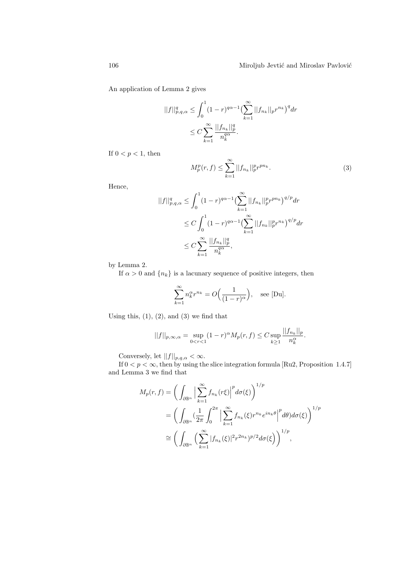An application of Lemma 2 gives

$$
||f||_{p,q,\alpha}^{q} \leq \int_{0}^{1} (1-r)^{q\alpha-1} \left(\sum_{k=1}^{\infty} ||f_{n_{k}}||_{p} r^{n_{k}}\right)^{q} dr
$$
  

$$
\leq C \sum_{k=1}^{\infty} \frac{||f_{n_{k}}||_{p}^{q}}{n_{k}^{q\alpha}}.
$$

If  $0 < p < 1$ , then

$$
M_p^p(r,f) \le \sum_{k=1}^{\infty} ||f_{n_k}||_p^p r^{pn_k}.
$$
 (3)

Hence,

$$
||f||_{p,q,\alpha}^{q} \leq \int_{0}^{1} (1-r)^{q\alpha-1} \left(\sum_{k=1}^{\infty} ||f_{n_{k}}||_{p}^{p} r^{p n_{k}}\right)^{q/p} dr
$$
  

$$
\leq C \int_{0}^{1} (1-r)^{q\alpha-1} \left(\sum_{k=1}^{\infty} ||f_{n_{k}}||_{p}^{p} r^{n_{k}}\right)^{q/p} dr
$$
  

$$
\leq C \sum_{k=1}^{\infty} \frac{||f_{n_{k}}||_{p}^{q}}{n_{k}^{q\alpha}},
$$

by Lemma 2.

If  $\alpha > 0$  and  $\{n_k\}$  is a lacunary sequence of positive integers, then

$$
\sum_{k=1}^{\infty} n_k^{\alpha} r^{n_k} = O\Big(\frac{1}{(1-r)^{\alpha}}\Big), \quad \text{see [Du].}
$$

Using this,  $(1)$ ,  $(2)$ , and  $(3)$  we find that

$$
||f||_{p,\infty,\alpha} = \sup_{0 < r < 1} (1-r)^{\alpha} M_p(r,f) \leq C \sup_{k \geq 1} \frac{||f_{n_k}||_p}{n_k^{\alpha}}.
$$

Conversely, let  $||f||_{p,q,\alpha} < \infty$ .

If  $0 < p < \infty$ , then by using the slice integration formula [Ru2, Proposition 1.4.7] and Lemma 3 we find that

$$
M_p(r, f) = \left(\int_{\partial \mathbb{B}^n} \Big| \sum_{k=1}^{\infty} f_{n_k}(r\xi) \Big|^p d\sigma(\xi)\right)^{1/p}
$$
  
= 
$$
\left(\int_{\partial \mathbb{B}^n} \left(\frac{1}{2\pi} \int_0^{2\pi} \Big| \sum_{k=1}^{\infty} f_{n_k}(\xi) r^{n_k} e^{in_k \theta} \Big|^p d\theta \right) d\sigma(\xi)\right)^{1/p}
$$
  

$$
\cong \left(\int_{\partial \mathbb{B}^n} \left(\sum_{k=1}^{\infty} |f_{n_k}(\xi)|^2 r^{2n_k} \right)^{p/2} d\sigma(\xi)\right)^{1/p},
$$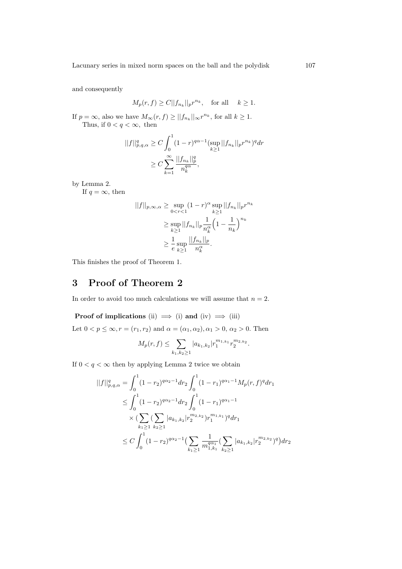and consequently

$$
M_p(r, f) \ge C ||f_{n_k}||_p r^{n_k}, \quad \text{for all} \quad k \ge 1.
$$

If  $p = \infty$ , also we have  $M_{\infty}(r, f) \geq ||f_{n_k}||_{\infty} r^{n_k}$ , for all  $k \geq 1$ . Thus, if  $0 < q < \infty$ , then

$$
||f||_{p,q,\alpha}^{q} \ge C \int_{0}^{1} (1-r)^{q\alpha-1} (\sup_{k \ge 1} ||f_{n_{k}}||_{p} r^{n_{k}})^{q} dr
$$
  

$$
\ge C \sum_{k=1}^{\infty} \frac{||f_{n_{k}}||_{p}^{q}}{n_{k}^{q\alpha}},
$$

by Lemma 2.

If  $q = \infty$ , then

$$
||f||_{p,\infty,\alpha} \ge \sup_{0 < r < 1} (1-r)^{\alpha} \sup_{k \ge 1} ||f_{n_k}||_{p} r^{n_k}
$$
\n
$$
\ge \sup_{k \ge 1} ||f_{n_k}||_{p} \frac{1}{n_k^{\alpha}} \left(1 - \frac{1}{n_k}\right)^{n_k}
$$
\n
$$
\ge \frac{1}{e} \sup_{k \ge 1} \frac{||f_{n_k}||_{p}}{n_k^{\alpha}}.
$$

This finishes the proof of Theorem 1.

# 3 Proof of Theorem 2

In order to avoid too much calculations we will assume that  $n = 2$ .

**Proof of implications** (ii)  $\implies$  (i) and (iv)  $\implies$  (iii) Let  $0 < p \leq \infty$ ,  $r = (r_1, r_2)$  and  $\alpha = (\alpha_1, \alpha_2), \alpha_1 > 0, \alpha_2 > 0$ . Then

$$
M_p(r, f) \leq \sum_{k_1, k_2 \geq 1} |a_{k_1, k_2}| r_1^{m_{1, k_1}} r_2^{m_{2, k_2}}.
$$

If  $0 < q < \infty$  then by applying Lemma 2 twice we obtain

$$
||f||_{p,q,\alpha}^{q} = \int_{0}^{1} (1-r_{2})^{q\alpha_{2}-1} dr_{2} \int_{0}^{1} (1-r_{1})^{q\alpha_{1}-1} M_{p}(r,f)^{q} dr_{1}
$$
  
\n
$$
\leq \int_{0}^{1} (1-r_{2})^{q\alpha_{2}-1} dr_{2} \int_{0}^{1} (1-r_{1})^{q\alpha_{1}-1}
$$
  
\n
$$
\times (\sum_{k_{1}\geq 1} (\sum_{k_{2}\geq 1} |a_{k_{1},k_{2}}|r_{2}^{m_{2},k_{2}})r_{1}^{m_{1},k_{1}})^{q} dr_{1}
$$
  
\n
$$
\leq C \int_{0}^{1} (1-r_{2})^{q\alpha_{2}-1} (\sum_{k_{1}\geq 1} \frac{1}{m_{1,k_{1}}^{\alpha_{1}} (\sum_{k_{2}\geq 1} |a_{k_{1},k_{2}}|r_{2}^{m_{2},k_{2}})^{q}) dr_{2}
$$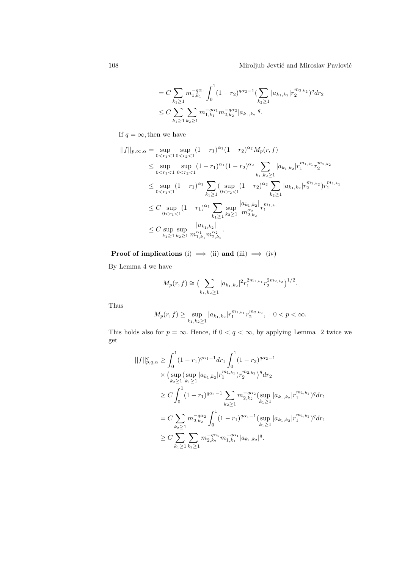$$
= C \sum_{k_1 \ge 1} m_{1,k_1}^{-q\alpha_1} \int_0^1 (1-r_2)^{q\alpha_2-1} \left(\sum_{k_2 \ge 1} |a_{k_1,k_2}| r_2^{m_{2,k_2}}\right)^q dr_2
$$
  

$$
\le C \sum_{k_1 \ge 1} \sum_{k_2 \ge 1} m_{1,k_1}^{-q\alpha_1} m_{2,k_2}^{-q\alpha_2} |a_{k_1,k_2}|^q.
$$

If  $q=\infty,$  then we have

$$
||f||_{p,\infty,\alpha} = \sup_{0 < r_1 < 1} \sup_{0 < r_2 < 1} (1 - r_1)^{\alpha_1} (1 - r_2)^{\alpha_2} M_p(r, f)
$$
\n
$$
\leq \sup_{0 < r_1 < 1} \sup_{0 < r_2 < 1} (1 - r_1)^{\alpha_1} (1 - r_2)^{\alpha_2} \sum_{k_1, k_2 \geq 1} |a_{k_1, k_2}| r_1^{m_{1, k_1}} r_2^{m_{2, k_2}}
$$
\n
$$
\leq \sup_{0 < r_1 < 1} (1 - r_1)^{\alpha_1} \sum_{k_1 \geq 1} \sup_{0 < r_2 < 1} (1 - r_2)^{\alpha_2} \sum_{k_2 \geq 1} |a_{k_1, k_2}| r_2^{m_{2, k_2}} r_1^{m_{1, k_1}}
$$
\n
$$
\leq C \sup_{0 < r_1 < 1} (1 - r_1)^{\alpha_1} \sum_{k_1 \geq 1} \sup_{k_2 \geq 1} \frac{|a_{k_1, k_2}|}{m_{2, k_2}^{\alpha_2}} r_1^{m_{1, k_1}}
$$
\n
$$
\leq C \sup_{k_1 \geq 1} \sup_{k_2 \geq 1} \frac{|a_{k_1, k_2}|}{m_{1, k_1}^{\alpha_2}} \sum_{k_2 \geq 1} \frac{|a_{k_1, k_2}|}{m_{1, k_1}^{\alpha_2}} r_2^{m_{1, k_1}}
$$

Proof of implications  $(\mathrm{i}) \implies (\mathrm{ii})$  and  $(\mathrm{iii}) \implies (\mathrm{iv})$ 

By Lemma 4 we have

$$
M_p(r,f) \cong \left(\sum_{k_1,k_2 \ge 1} |a_{k_1,k_2}|^2 r_1^{2m_{1,k_1}} r_2^{2m_{2,k_2}}\right)^{1/2}.
$$

Thus

$$
M_p(r, f) \ge \sup_{k_1, k_2 \ge 1} |a_{k_1, k_2}| r_1^{m_{1, k_1}} r_2^{m_{2, k_2}}, \quad 0 < p < \infty.
$$

This holds also for  $p = \infty$ . Hence, if  $0 < q < \infty$ , by applying Lemma 2 twice we get

$$
||f||_{p,q,\alpha}^{q} \geq \int_{0}^{1} (1-r_{1})^{q\alpha_{1}-1} dr_{1} \int_{0}^{1} (1-r_{2})^{q\alpha_{2}-1}
$$
  
\n
$$
\times \left( \sup_{k_{2}\geq 1} (\sup_{k_{1}\geq 1} |a_{k_{1},k_{2}}|r_{1}^{m_{1,k_{1}}})r_{2}^{m_{2,k_{2}}})^{q} dr_{2}
$$
  
\n
$$
\geq C \int_{0}^{1} (1-r_{1})^{q\alpha_{1}-1} \sum_{k_{2}\geq 1} m_{2,k_{2}}^{-q\alpha_{2}} (\sup_{k_{1}\geq 1} |a_{k_{1},k_{2}}|r_{1}^{m_{1,k_{1}}})^{q} dr_{1}
$$
  
\n
$$
= C \sum_{k_{2}\geq 1} m_{2,k_{2}}^{-q\alpha_{2}} \int_{0}^{1} (1-r_{1})^{q\alpha_{1}-1} (\sup_{k_{1}\geq 1} |a_{k_{1},k_{2}}|r_{1}^{m_{1,k_{1}}})^{q} dr_{1}
$$
  
\n
$$
\geq C \sum_{k_{1}\geq 1} \sum_{k_{2}\geq 1} m_{2,k_{2}}^{-q\alpha_{2}} m_{1,k_{1}}^{-q\alpha_{1}} |a_{k_{1},k_{2}}|^{q}.
$$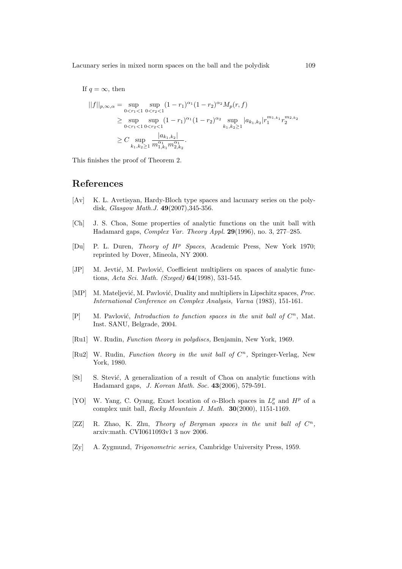Lacunary series in mixed norm spaces on the ball and the polydisk 109

If  $q = \infty$ , then

$$
||f||_{p,\infty,\alpha} = \sup_{0 < r_1 < 1} \sup_{0 < r_2 < 1} (1 - r_1)^{\alpha_1} (1 - r_2)^{\alpha_2} M_p(r, f)
$$
\n
$$
\geq \sup_{0 < r_1 < 1} \sup_{0 < r_2 < 1} (1 - r_1)^{\alpha_1} (1 - r_2)^{\alpha_2} \sup_{k_1, k_2 \geq 1} |a_{k_1, k_2}| r_1^{m_{1, k_1}} r_2^{m_{2, k_2}}
$$
\n
$$
\geq C \sup_{k_1, k_2 \geq 1} \frac{|a_{k_1, k_2}|}{m_{1, k_1}^{\alpha_1} m_{2, k_2}^{\alpha_1}}.
$$

This finishes the proof of Theorem 2.

### References

- [Av] K. L. Avetisyan, Hardy-Bloch type spaces and lacunary series on the polydisk, *Glasgow Math.J.* **49**(2007), 345-356.
- [Ch] J. S. Choa, Some properties of analytic functions on the unit ball with Hadamard gaps, Complex Var. Theory Appl. 29(1996), no. 3, 277–285.
- [Du] P. L. Duren, Theory of H<sup>p</sup> Spaces, Academic Press, New York 1970; reprinted by Dover, Mineola, NY 2000.
- [JP] M. Jevtić, M. Pavlović, Coefficient multipliers on spaces of analytic functions, Acta Sci. Math. (Szeged) 64(1998), 531-545.
- [MP] M. Mateljević, M. Pavlović, Duality and multipliers in Lipschitz spaces, Proc. International Conference on Complex Analysis, Varna (1983), 151-161.
- $[P]$  M. Pavlović, *Introduction to function spaces in the unit ball of*  $C^n$ , Mat. Inst. SANU, Belgrade, 2004.
- [Ru1] W. Rudin, Function theory in polydiscs, Benjamin, New York, 1969.
- [Ru2] W. Rudin, Function theory in the unit ball of  $C<sup>n</sup>$ , Springer-Verlag, New York, 1980.
- [St] S. Stević, A generalization of a result of Choa on analytic functions with Hadamard gaps, J. Korean Math. Soc. 43(2006), 579-591.
- [YO] W. Yang, C. Oyang, Exact location of  $\alpha$ -Bloch spaces in  $L^p_\alpha$  and  $H^p$  of a complex unit ball, Rocky Mountain J. Math. 30(2000), 1151-1169.
- [ $ZZ$ ] R. Zhao, K. Zhu, Theory of Bergman spaces in the unit ball of  $C^n$ , arxiv:math. CVI0611093v1 3 nov 2006.
- [Zy] A. Zygmund, Trigonometric series, Cambridge University Press, 1959.